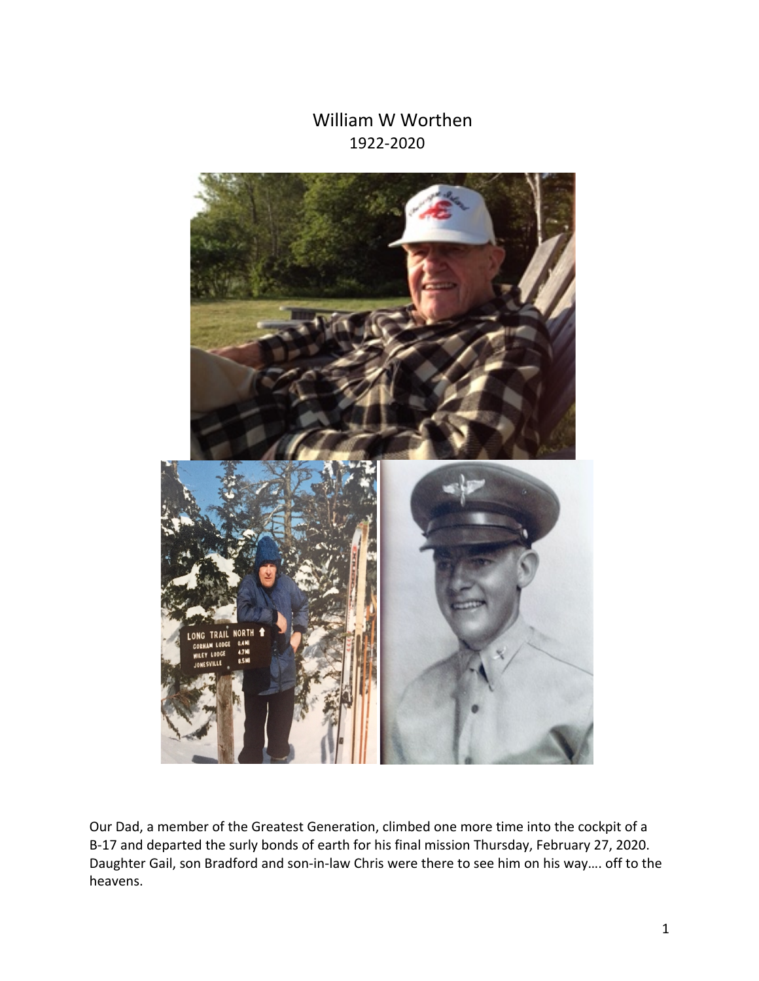## William W Worthen 1922-2020



Our Dad, a member of the Greatest Generation, climbed one more time into the cockpit of a B-17 and departed the surly bonds of earth for his final mission Thursday, February 27, 2020. Daughter Gail, son Bradford and son-in-law Chris were there to see him on his way…. off to the heavens.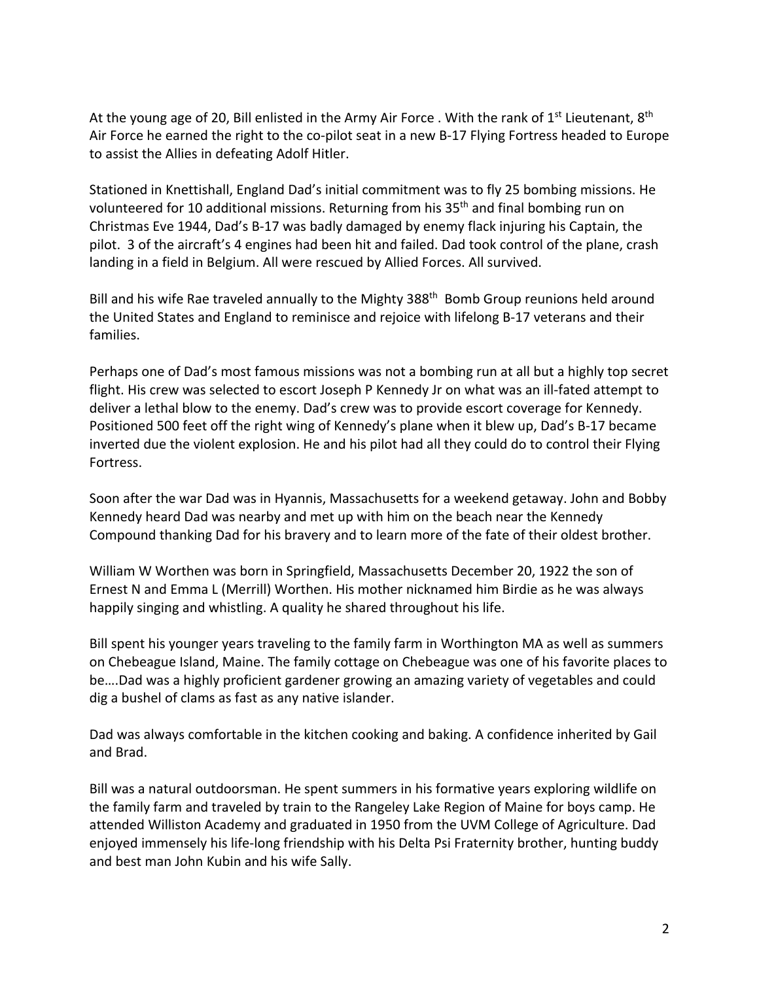At the young age of 20, Bill enlisted in the Army Air Force . With the rank of  $1<sup>st</sup>$  Lieutenant,  $8<sup>th</sup>$ Air Force he earned the right to the co-pilot seat in a new B-17 Flying Fortress headed to Europe to assist the Allies in defeating Adolf Hitler.

Stationed in Knettishall, England Dad's initial commitment was to fly 25 bombing missions. He volunteered for 10 additional missions. Returning from his 35<sup>th</sup> and final bombing run on Christmas Eve 1944, Dad's B-17 was badly damaged by enemy flack injuring his Captain, the pilot. 3 of the aircraft's 4 engines had been hit and failed. Dad took control of the plane, crash landing in a field in Belgium. All were rescued by Allied Forces. All survived.

Bill and his wife Rae traveled annually to the Mighty 388<sup>th</sup> Bomb Group reunions held around the United States and England to reminisce and rejoice with lifelong B-17 veterans and their families.

Perhaps one of Dad's most famous missions was not a bombing run at all but a highly top secret flight. His crew was selected to escort Joseph P Kennedy Jr on what was an ill-fated attempt to deliver a lethal blow to the enemy. Dad's crew was to provide escort coverage for Kennedy. Positioned 500 feet off the right wing of Kennedy's plane when it blew up, Dad's B-17 became inverted due the violent explosion. He and his pilot had all they could do to control their Flying Fortress.

Soon after the war Dad was in Hyannis, Massachusetts for a weekend getaway. John and Bobby Kennedy heard Dad was nearby and met up with him on the beach near the Kennedy Compound thanking Dad for his bravery and to learn more of the fate of their oldest brother.

William W Worthen was born in Springfield, Massachusetts December 20, 1922 the son of Ernest N and Emma L (Merrill) Worthen. His mother nicknamed him Birdie as he was always happily singing and whistling. A quality he shared throughout his life.

Bill spent his younger years traveling to the family farm in Worthington MA as well as summers on Chebeague Island, Maine. The family cottage on Chebeague was one of his favorite places to be….Dad was a highly proficient gardener growing an amazing variety of vegetables and could dig a bushel of clams as fast as any native islander.

Dad was always comfortable in the kitchen cooking and baking. A confidence inherited by Gail and Brad.

Bill was a natural outdoorsman. He spent summers in his formative years exploring wildlife on the family farm and traveled by train to the Rangeley Lake Region of Maine for boys camp. He attended Williston Academy and graduated in 1950 from the UVM College of Agriculture. Dad enjoyed immensely his life-long friendship with his Delta Psi Fraternity brother, hunting buddy and best man John Kubin and his wife Sally.